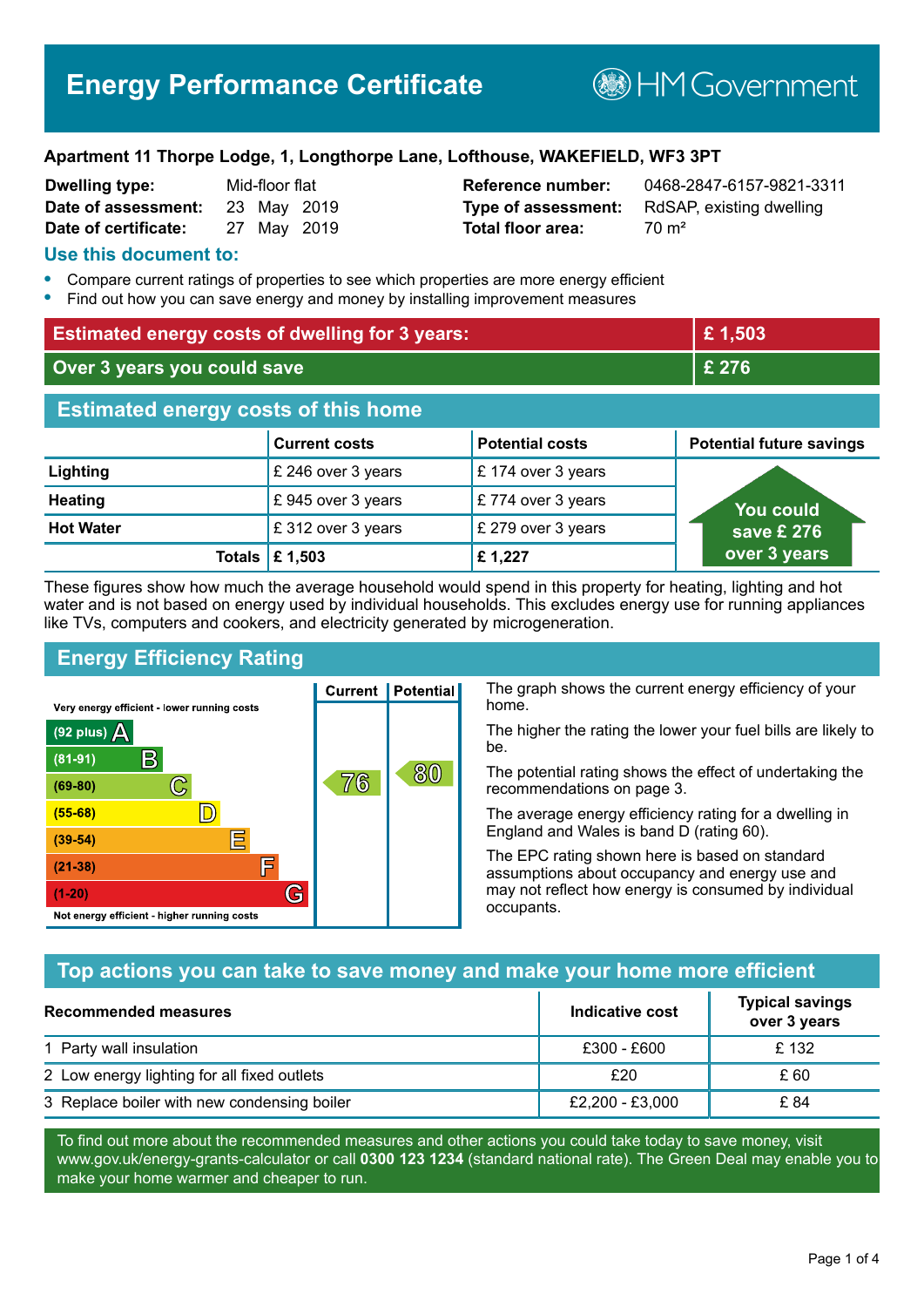### **Apartment 11 Thorpe Lodge, 1, Longthorpe Lane, Lofthouse, WAKEFIELD, WF3 3PT**

| <b>Dwelling type:</b> | Mid-floor flat |  |
|-----------------------|----------------|--|
| Date of assessment:   | 23 May 2019    |  |
| Date of certificate:  | 27 May 2019    |  |

**Total floor area:** 70 m<sup>2</sup>

**Reference number:** 0468-2847-6157-9821-3311 **Type of assessment:** RdSAP, existing dwelling

### **Use this document to:**

- **•** Compare current ratings of properties to see which properties are more energy efficient
- **•** Find out how you can save energy and money by installing improvement measures

| <b>Estimated energy costs of dwelling for 3 years:</b> |                           | £1,503                 |                                 |
|--------------------------------------------------------|---------------------------|------------------------|---------------------------------|
| Over 3 years you could save                            |                           | £ 276                  |                                 |
| <b>Estimated energy costs of this home</b>             |                           |                        |                                 |
|                                                        | <b>Current costs</b>      | <b>Potential costs</b> | <b>Potential future savings</b> |
| Lighting                                               | £ 246 over 3 years        | £174 over 3 years      |                                 |
| <b>Heating</b>                                         | £945 over 3 years         | £774 over 3 years      | <u>Yo</u> u could               |
| <b>Hot Water</b>                                       | £312 over 3 years         | £ 279 over 3 years     | save £ 276                      |
|                                                        | Totals $\mathsf{E}$ 1,503 | £1,227                 | over 3 years                    |

These figures show how much the average household would spend in this property for heating, lighting and hot water and is not based on energy used by individual households. This excludes energy use for running appliances like TVs, computers and cookers, and electricity generated by microgeneration.

**Current | Potential** 

76

## **Energy Efficiency Rating**

 $\mathbb{C}$ 

 $\mathbb{D}$ 

E

庐

G

Very energy efficient - lower running costs

R

Not energy efficient - higher running costs

 $(92$  plus)

 $(81 - 91)$ 

 $(69 - 80)$ 

 $(55-68)$ 

 $(39 - 54)$ 

 $(21-38)$ 

 $(1-20)$ 

- 70

The graph shows the current energy efficiency of your home.

The higher the rating the lower your fuel bills are likely to be.

The potential rating shows the effect of undertaking the recommendations on page 3.

The average energy efficiency rating for a dwelling in England and Wales is band D (rating 60).

The EPC rating shown here is based on standard assumptions about occupancy and energy use and may not reflect how energy is consumed by individual occupants.

## **Top actions you can take to save money and make your home more efficient**

80

| Recommended measures                        | Indicative cost | <b>Typical savings</b><br>over 3 years |
|---------------------------------------------|-----------------|----------------------------------------|
| 1 Party wall insulation                     | £300 - £600     | £132                                   |
| 2 Low energy lighting for all fixed outlets | £20             | £ 60                                   |
| 3 Replace boiler with new condensing boiler | £2,200 - £3,000 | £ 84                                   |

To find out more about the recommended measures and other actions you could take today to save money, visit www.gov.uk/energy-grants-calculator or call **0300 123 1234** (standard national rate). The Green Deal may enable you to make your home warmer and cheaper to run.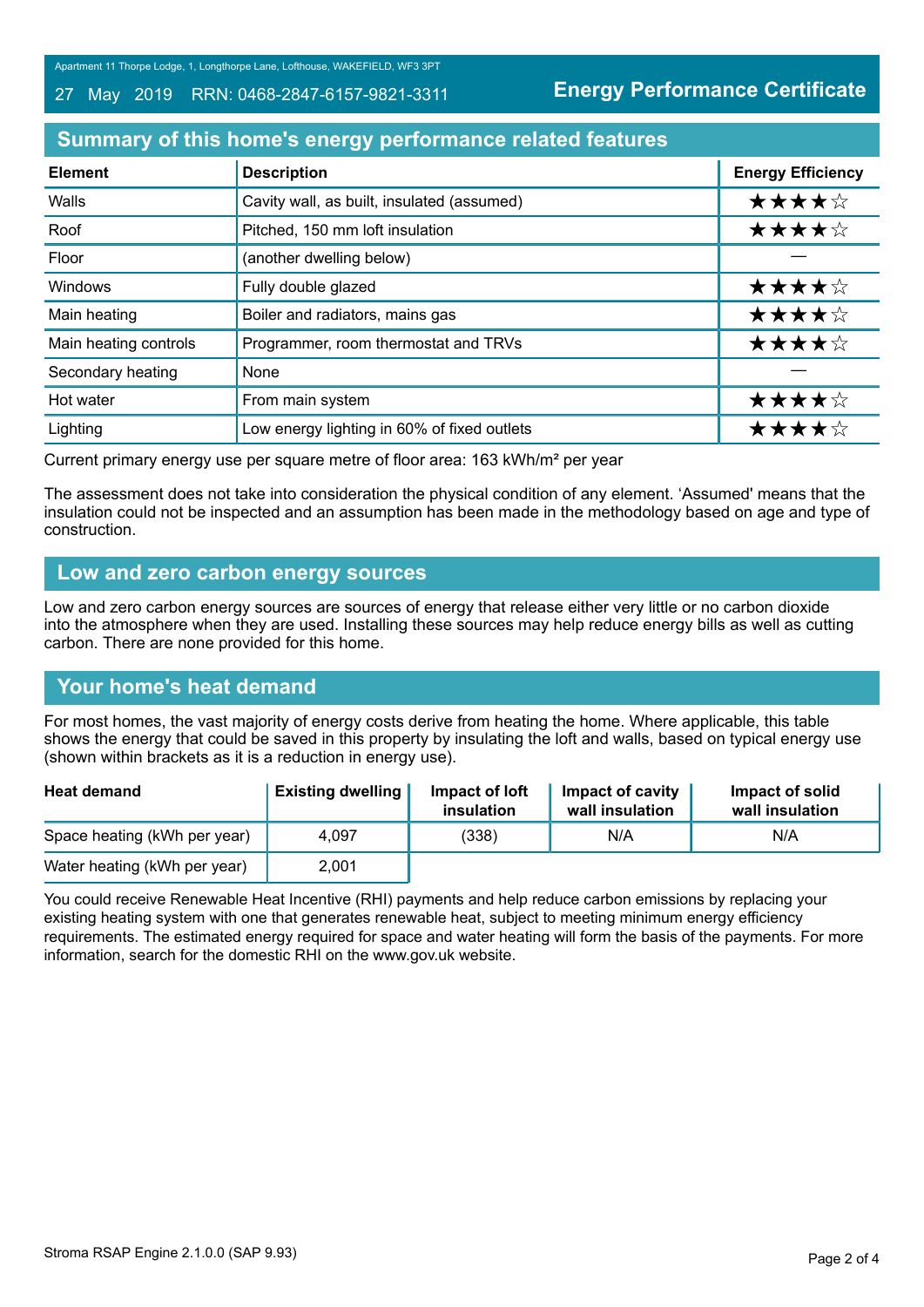Apartment 11 Thorpe Lodge, 1, Longthorpe Lane, Lofthouse, WAKEFIELD, WF3 3PT

#### 27 May 2019 RRN: 0468-2847-6157-9821-3311

**Energy Performance Certificate**

## **Summary of this home's energy performance related features**

| <b>Element</b>        | <b>Description</b>                          | <b>Energy Efficiency</b> |
|-----------------------|---------------------------------------------|--------------------------|
| Walls                 | Cavity wall, as built, insulated (assumed)  | ★★★★☆                    |
| Roof                  | Pitched, 150 mm loft insulation             | ★★★★☆                    |
| Floor                 | (another dwelling below)                    |                          |
| Windows               | Fully double glazed                         | ★★★★☆                    |
| Main heating          | Boiler and radiators, mains gas             | ★★★★☆                    |
| Main heating controls | Programmer, room thermostat and TRVs        | ★★★★☆                    |
| Secondary heating     | None                                        |                          |
| Hot water             | From main system                            | ★★★★☆                    |
| Lighting              | Low energy lighting in 60% of fixed outlets | ★★★★☆                    |

Current primary energy use per square metre of floor area: 163 kWh/m² per year

The assessment does not take into consideration the physical condition of any element. 'Assumed' means that the insulation could not be inspected and an assumption has been made in the methodology based on age and type of construction.

### **Low and zero carbon energy sources**

Low and zero carbon energy sources are sources of energy that release either very little or no carbon dioxide into the atmosphere when they are used. Installing these sources may help reduce energy bills as well as cutting carbon. There are none provided for this home.

## **Your home's heat demand**

For most homes, the vast majority of energy costs derive from heating the home. Where applicable, this table shows the energy that could be saved in this property by insulating the loft and walls, based on typical energy use (shown within brackets as it is a reduction in energy use).

| <b>Heat demand</b>           | <b>Existing dwelling</b> | Impact of loft<br>insulation | Impact of cavity<br>wall insulation | Impact of solid<br>wall insulation |
|------------------------------|--------------------------|------------------------------|-------------------------------------|------------------------------------|
| Space heating (kWh per year) | 4,097                    | (338)                        | N/A                                 | N/A                                |
| Water heating (kWh per year) | 2,001                    |                              |                                     |                                    |

You could receive Renewable Heat Incentive (RHI) payments and help reduce carbon emissions by replacing your existing heating system with one that generates renewable heat, subject to meeting minimum energy efficiency requirements. The estimated energy required for space and water heating will form the basis of the payments. For more information, search for the domestic RHI on the www.gov.uk website.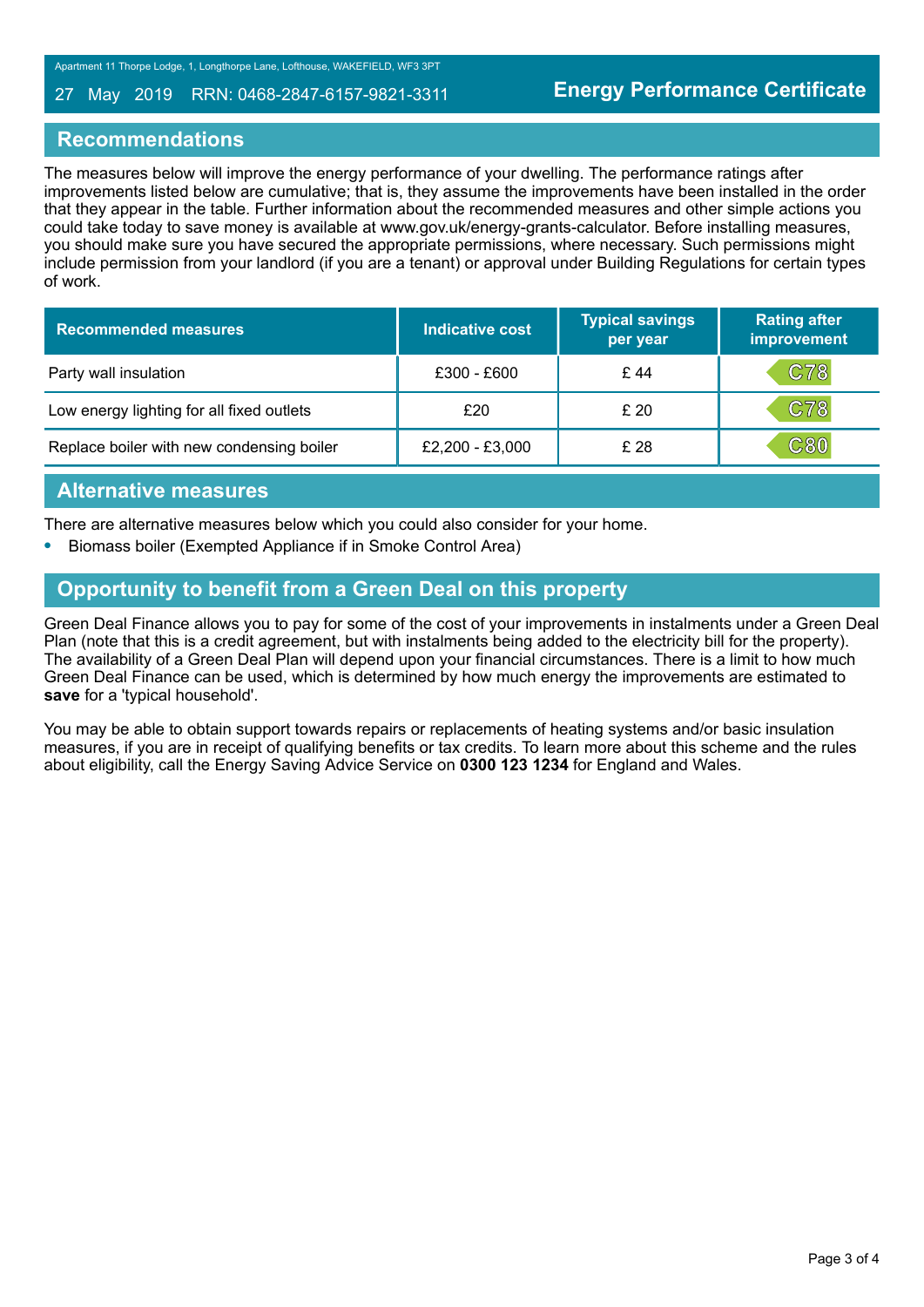#### 27 May 2019 RRN: 0468-2847-6157-9821-3311

### **Recommendations**

The measures below will improve the energy performance of your dwelling. The performance ratings after improvements listed below are cumulative; that is, they assume the improvements have been installed in the order that they appear in the table. Further information about the recommended measures and other simple actions you could take today to save money is available at www.gov.uk/energy-grants-calculator. Before installing measures, you should make sure you have secured the appropriate permissions, where necessary. Such permissions might include permission from your landlord (if you are a tenant) or approval under Building Regulations for certain types of work.

| <b>Recommended measures</b>               | <b>Indicative cost</b> | <b>Typical savings</b><br>per year | <b>Rating after</b><br>improvement |
|-------------------------------------------|------------------------|------------------------------------|------------------------------------|
| Party wall insulation                     | $£300 - £600$          | £ 44                               | C78                                |
| Low energy lighting for all fixed outlets | £20                    | £20                                | C78                                |
| Replace boiler with new condensing boiler | £2,200 - £3,000        | £ 28                               | $\mathbb{C}80$                     |

### **Alternative measures**

There are alternative measures below which you could also consider for your home.

**•** Biomass boiler (Exempted Appliance if in Smoke Control Area)

# **Opportunity to benefit from a Green Deal on this property**

Green Deal Finance allows you to pay for some of the cost of your improvements in instalments under a Green Deal Plan (note that this is a credit agreement, but with instalments being added to the electricity bill for the property). The availability of a Green Deal Plan will depend upon your financial circumstances. There is a limit to how much Green Deal Finance can be used, which is determined by how much energy the improvements are estimated to **save** for a 'typical household'.

You may be able to obtain support towards repairs or replacements of heating systems and/or basic insulation measures, if you are in receipt of qualifying benefits or tax credits. To learn more about this scheme and the rules about eligibility, call the Energy Saving Advice Service on **0300 123 1234** for England and Wales.